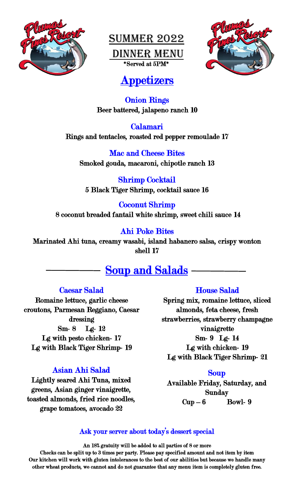

Summer 2022 Dinner Menu \*Served at 5PM\*



# Appetizers

#### Onion Rings Beer battered, jalapeno ranch 10

Calamari Rings and tentacles, roasted red pepper remoulade 17

Mac and Cheese Bites Smoked gouda, macaroni, chipotle ranch 13

Shrimp Cocktail 5 Black Tiger Shrimp, cocktail sauce 16

Coconut Shrimp 8 coconut breaded fantail white shrimp, sweet chili sauce 14

#### Ahi Poke Bites

Marinated Ahi tuna, creamy wasabi, island habanero salsa, crispy wonton shell 17

#### ŕ j Soup and Salads

#### Caesar Salad

Romaine lettuce, garlic cheese croutons, Parmesan Reggiano, Caesar dressing Sm- 8 Lg- 12 Lg with pesto chicken- 17 Lg with Black Tiger Shrimp- 19

#### Asian Ahi Salad

Lightly seared Ahi Tuna, mixed greens, Asian ginger vinaigrette, toasted almonds, fried rice noodles, grape tomatoes, avocado 22

#### House Salad

Spring mix, romaine lettuce, sliced almonds, feta cheese, fresh strawberries, strawberry champagne vinaigrette Sm- 9 Lg- 14 Lg with chicken- 19

Lg with Black Tiger Shrimp- 21

#### Soup

Available Friday, Saturday, and Sunday  $Cup-6$  Bowl- 9

#### Ask your server about today's dessert special

An 18% gratuity will be added to all parties of 8 or more

Checks can be split up to 3 times per party. Please pay specified amount and not item by item Our kitchen will work with gluten intolerances to the best of our abilities but because we handle many other wheat products, we cannot and do not guarantee that any menu item is completely gluten free.